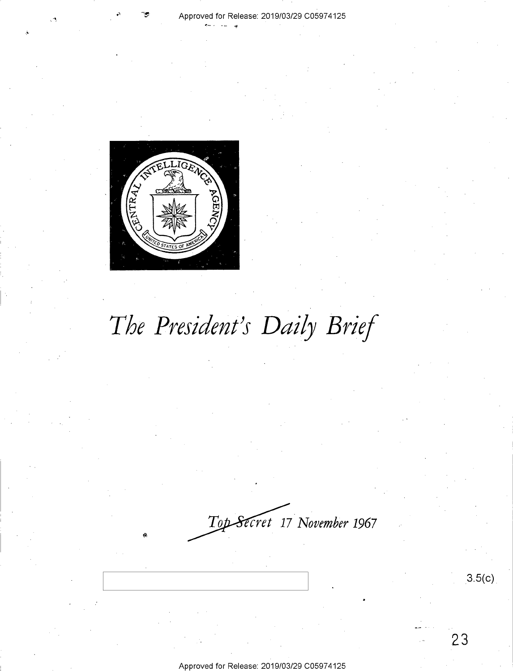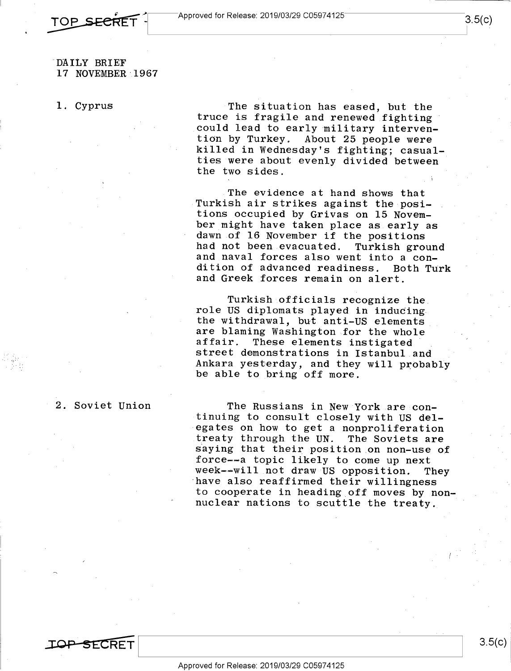#### DAILY BRIEF 17 NOVEMBER· 1967

TOP SECRET .

1. Cyprus

The situation has eased, but the truce is fragile and renewed fighting could lead to early military intervention by Turkey. About 25 people were killed in Wednesday's fighting; casualties were about evenly divided between the two sides.

The evidence at hand shows that Turkish air strikes against the positions occupied by Grivas on 15 November might have taken place as early as dawn of 16 November if the positions had not been evacuated. Turkish ground and naval forces also went into a condition of advanced readiness. Both TUrk and Greek forces remain on alert.

Turkish officials recognize the role US diplomats played in inducing the withdrawal, but anti-US elements are blaming Washington for the whole affair. These elements instigated street demonstrations in Istanbul and Ankara yesterday, and they will probably be able to bring off more.

The Russians in New York are continuing to consult closely with US delegates on how to get a nonproliferation treaty through the UN. The Soviets are saying that their position on non-use of force--a topic likely to come up next week--will not draw US opposition. They have also reaffirmed their willingness to cooperate in heading off moves by nonnuclear nations to scuttle the treaty.

2. Soviet Union

**TOP SECRET**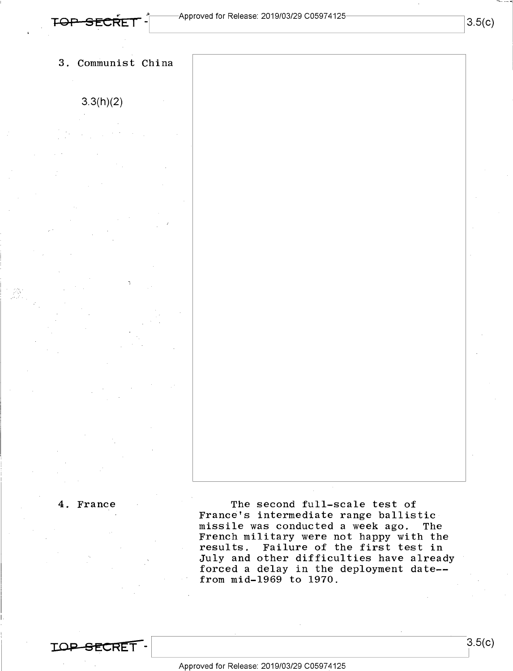### 3. Communist China

3.3(h)(2)

4. France

**IOi;> SECRET-**

The second full-scale test of France's intermediate range ballistic missile was conducted a week ago. The French military were not happy with the results. Failure of the first test in July and other difficulties have already forced a delay in the deployment date-from mid-1969 to 1970.

Approved for Release: 2019/03/29 C0597 4125

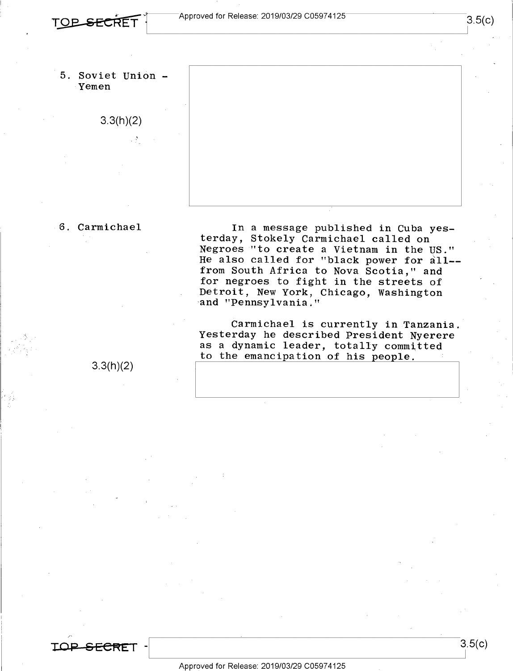



#### 6. Carmichael

In a message published in Cuba yesterday, Stokely Carmichael called on Negroes "to create a Vietnam in the US." He also called for "black power for all- from South Africa to Nova Scotia," and for negroes to fight in the streets of Detroit, New York, Chicago, Washington -and "Pennsylvania."

Carmichael is currently in Tanzania. Yesterday he described President Nyerere as a dynamic leader, totally committed to the emancipation of his people.

3.3(h)(2)

**TOi;> SECF<E** I -

3.5(c)

3.5(c)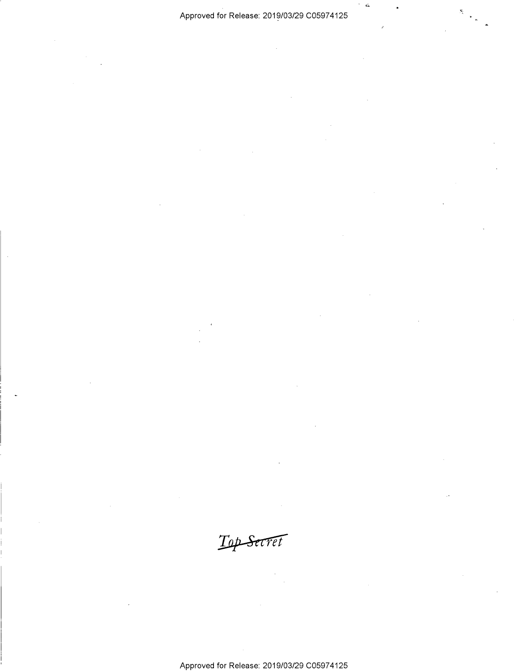$\sim d_{\rm s}$ 

Top Secret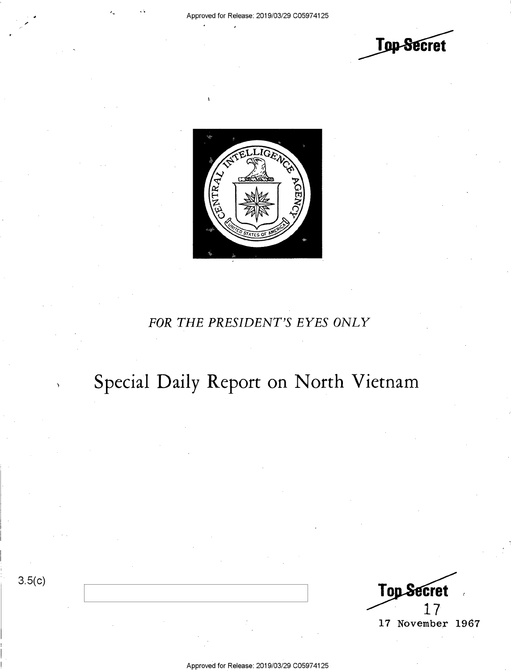



### *FOR THE PRESIDENT'S EYES ONLY*

# Special Daily Report on North Vietnam

3.5(c)

Top Secret 17 November 1967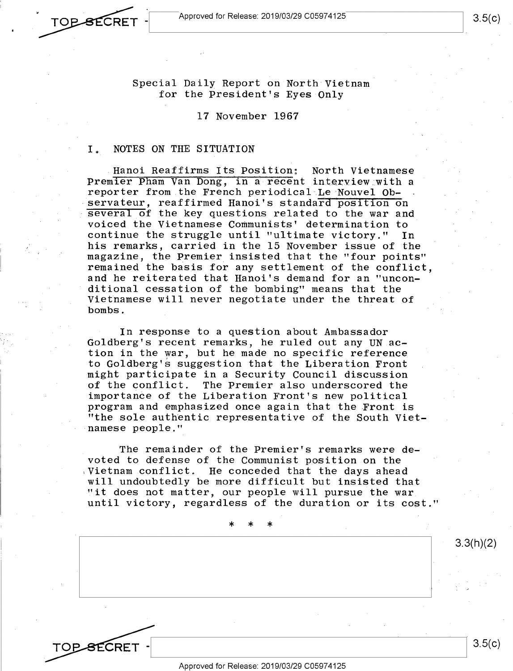**TOP SECRET** 

**TOP SECRET** 

Special Daily Report on North Vietnam for the President's Eyes Only

17 November 1967

#### I. NOTES ON THE SITUATION

Hanoi Reaffirms Its Position: North Vietnamese Premier Pham Van Dong, in a recent interview with a reporter from the French periodical Le Nouvel Ob servateur, reaffirmed Hanoi's standard position on several of the key questions related to the war and voiced the Vietnamese Communists' determination to continue the struggle until "ultimate victory." In his remarks, carried in the 15 November issue of the magazine, the Premier. insisted that the "four points" remained the basis for any settlement of the conflict, and he reiterated that Hanoi's demand for an "unconditional cessation of the bombing" means that the Vietnamese will never negotiate under the threat of bombs.

In response to a question about Ambassador Goldberg's recent remarks, he ruled out any UN action in the war, but he made no specific reference to Goldberg's suggestion that the Liberation Front might participate in a Security Council discussion of the conflict. The Premier also underscored the importance of the Liberation Front's new political program and emphasized once again that the Front is "the sole authentic representative of the South Vietnamese people."

The remainder of the Premier's remarks were devoted to defense of the Communist position on the ,Vietnam conflict. He conceded that the days ahead will undoubtedly be more difficult but insisted that "it does not matter, our people will pursue the war until victory, regardless of the duration or its cost."

\* \* \* 3.3(h)(2) 3.5(c)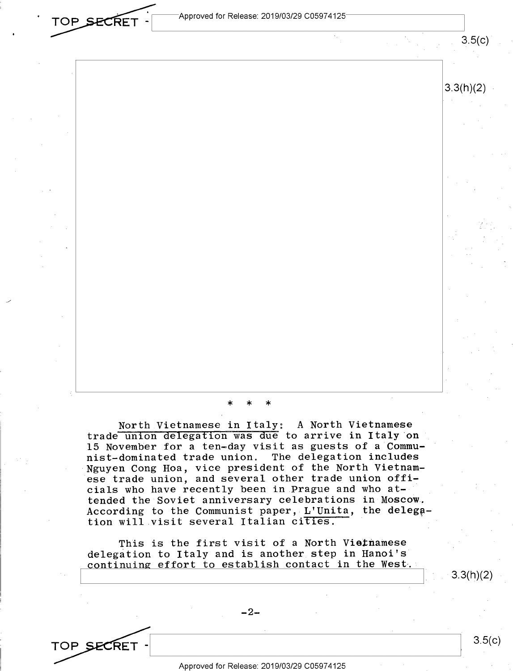Approved for Release: 2019/03/29 C05974125

TOP SECRET

TOP SECRET

### \* \* \*

North Vietnamese in Italy: A North Vietnamese trade union delegation was due to arrive in Italy on 15 November for a ten-day visit as guests of a Communist-dominated trade union. The delegation includes Nguyen Cong Hoa, vice president of the North Vietnamese trade union, and several other trade union officials who have recently been in Prague and who attended the Soviet anniversary celebrations in Moscow. According to the Communist paper, L'Unita, the delegation will visit several Italian cities.

This is the first visit of a North Vietnamese delegation to Italy and is another step in Hanoi's continuing effort to establish contact in the West-.

 $-2-$ 

3.3(h)(2)

3.5(c)

 $3.5(c)$ 

3.3(h)(2)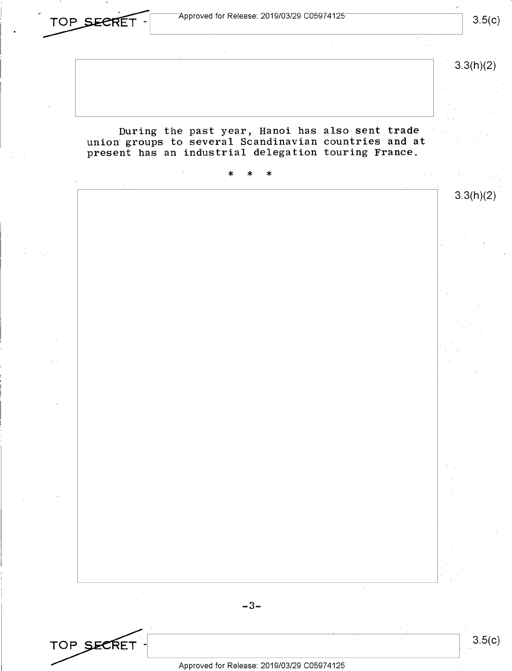$\begin{array}{|c|c|c|c|c|}\hline \textbf{TOP} & \textbf{SEERET} & \textbf{3.5(c)}\hline \end{array}$  3.5(c)

3.3(h)(2)

During the past year, Hanoi has also sent trade union groups to several Scandinavian countries and at present has an industrial delegation touring France.



3.5(c)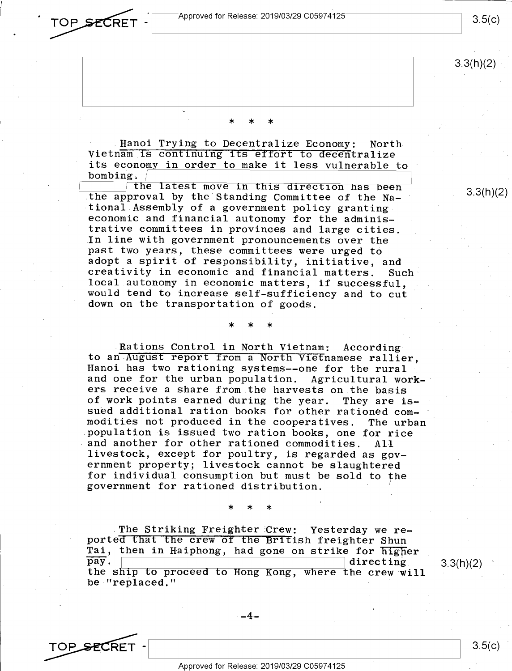Approved for Release: 2019/03/29 C05974125



3.3(h)(2)

 $3.3(h)(2)$ 

\* \* \*

Hanoi Trying to Decentralize Economy: North Vietnam is continuing its effort to decentralize its economy in order to make it less vulnerable to bombing.

the latest move in this direction has been the approval by the Standing Committee of the National Assembly of a government policy granting economic and financial autonomy for the administrative committees in provinces and large cities. In line with government pronouncements over the past two years, these committees were urged to adopt a spirit of responsibility, initiative, and creativity in economic and financial matters. Such local autonomy in economic matters, if successful, would tend to increase self-sufficiency and to cut down on the transportation of goods.

### \* \* \*

Rations Control in North Vietnam: According to an-August report from a North Vietnamese rallier, Hanoi has two rationing systems--one for the rural and one for the urban population. Agricultural workers receive a share from the harvests on the basis of work points earned during the year. They are issued additional ration books for other rationed commodities not produced in the cooperatives. The urban population is issued two ration books, one for rice and another for other rationed commodities. All livestock, except for poultry, is regarded as government property; livestock cannot be slaughtered for individual consumption but must be sold to the government for rationed distribution.

### \* \* \*

The Striking Freighter Crew: Yesterday we reported that the crew of the British freighter Shun Tai, then in Haiphong, had gone on strike for higher pay. pay.  $\vert$  directing 3.3(h)(2) the ship to proceed to Hong Kong, where the crew will be "replaced."

 $-4-$ 

TOP SECRET - 3.5(c)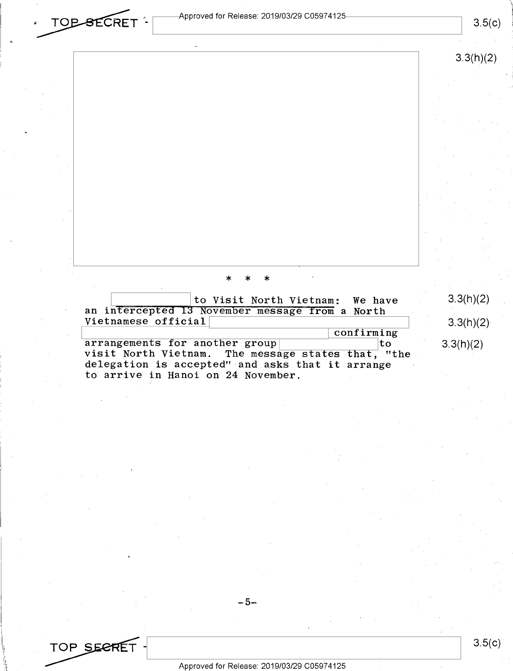**TOP SECRET** - <sup>Approved for Release: 2019/03/29 C05974125</sup> • TOP SECRET <sup>-</sup> <sup>Approved</sup> for Release: 2019/03/29 C05974125 3.5(c) 3.5(c)

3.3(h)(2)

## \* \* \*

|                                                    | to Visit North Vietnam: We have |            | 3.3(h)(2) |
|----------------------------------------------------|---------------------------------|------------|-----------|
| an intercepted 13 November message from a North    |                                 |            |           |
| Vietnamese official                                |                                 |            | 3.3(h)(2) |
|                                                    |                                 | confirming |           |
| arrangements for another group                     |                                 | 'to        | 3.3(h)(2) |
| visit North Vietnam. The message states that, "the |                                 |            |           |
| delegation is accepted" and asks that it arrange   |                                 |            |           |
| to arrive in Hanoi on 24 November.                 |                                 |            |           |

### $-5-$